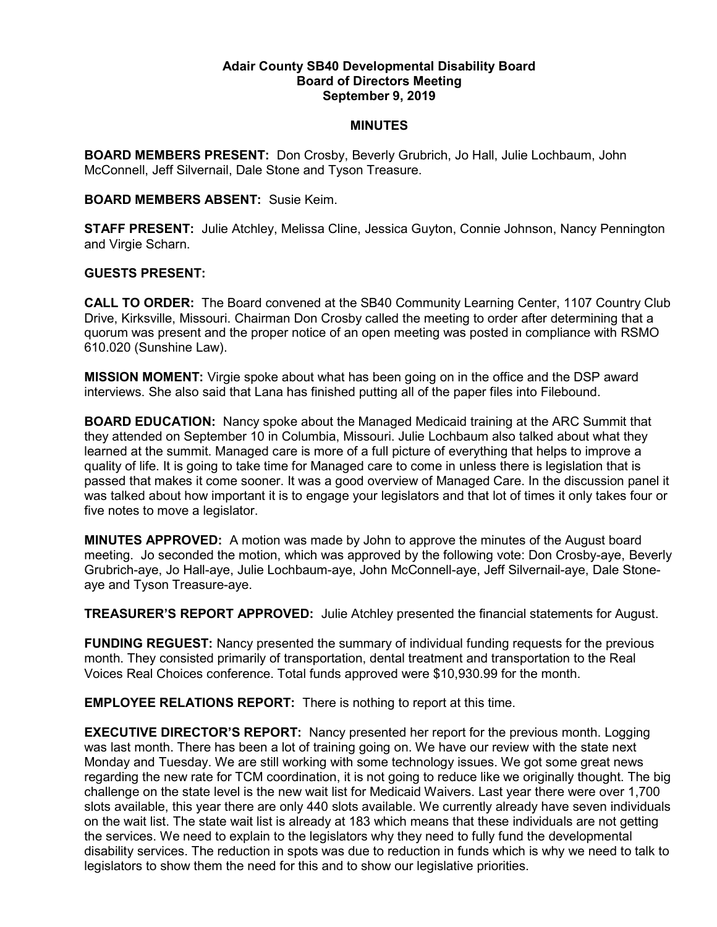## Adair County SB40 Developmental Disability Board Board of Directors Meeting September 9, 2019

## MINUTES

BOARD MEMBERS PRESENT: Don Crosby, Beverly Grubrich, Jo Hall, Julie Lochbaum, John McConnell, Jeff Silvernail, Dale Stone and Tyson Treasure.

## BOARD MEMBERS ABSENT: Susie Keim.

STAFF PRESENT: Julie Atchley, Melissa Cline, Jessica Guyton, Connie Johnson, Nancy Pennington and Virgie Scharn.

## GUESTS PRESENT:

CALL TO ORDER: The Board convened at the SB40 Community Learning Center, 1107 Country Club Drive, Kirksville, Missouri. Chairman Don Crosby called the meeting to order after determining that a quorum was present and the proper notice of an open meeting was posted in compliance with RSMO 610.020 (Sunshine Law).

MISSION MOMENT: Virgie spoke about what has been going on in the office and the DSP award interviews. She also said that Lana has finished putting all of the paper files into Filebound.

BOARD EDUCATION: Nancy spoke about the Managed Medicaid training at the ARC Summit that they attended on September 10 in Columbia, Missouri. Julie Lochbaum also talked about what they learned at the summit. Managed care is more of a full picture of everything that helps to improve a quality of life. It is going to take time for Managed care to come in unless there is legislation that is passed that makes it come sooner. It was a good overview of Managed Care. In the discussion panel it was talked about how important it is to engage your legislators and that lot of times it only takes four or five notes to move a legislator.

MINUTES APPROVED: A motion was made by John to approve the minutes of the August board meeting. Jo seconded the motion, which was approved by the following vote: Don Crosby-aye, Beverly Grubrich-aye, Jo Hall-aye, Julie Lochbaum-aye, John McConnell-aye, Jeff Silvernail-aye, Dale Stoneaye and Tyson Treasure-aye.

TREASURER'S REPORT APPROVED: Julie Atchley presented the financial statements for August.

FUNDING REGUEST: Nancy presented the summary of individual funding requests for the previous month. They consisted primarily of transportation, dental treatment and transportation to the Real Voices Real Choices conference. Total funds approved were \$10,930.99 for the month.

EMPLOYEE RELATIONS REPORT: There is nothing to report at this time.

**EXECUTIVE DIRECTOR'S REPORT:** Nancy presented her report for the previous month. Logging was last month. There has been a lot of training going on. We have our review with the state next Monday and Tuesday. We are still working with some technology issues. We got some great news regarding the new rate for TCM coordination, it is not going to reduce like we originally thought. The big challenge on the state level is the new wait list for Medicaid Waivers. Last year there were over 1,700 slots available, this year there are only 440 slots available. We currently already have seven individuals on the wait list. The state wait list is already at 183 which means that these individuals are not getting the services. We need to explain to the legislators why they need to fully fund the developmental disability services. The reduction in spots was due to reduction in funds which is why we need to talk to legislators to show them the need for this and to show our legislative priorities.